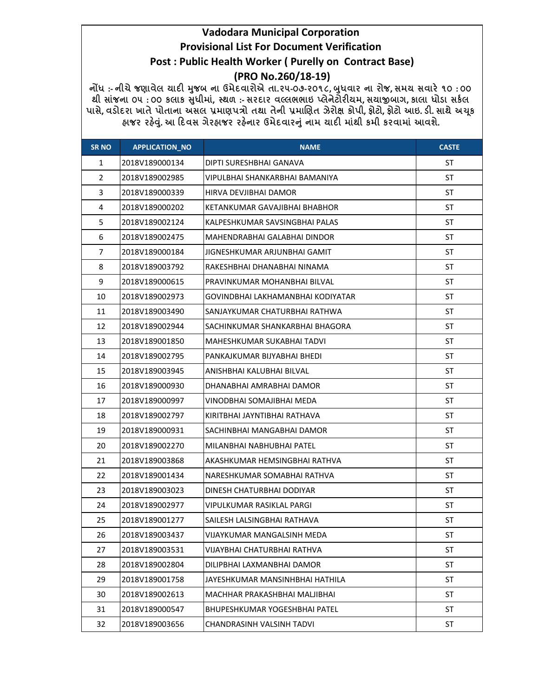## Vadodara Municipal Corporation Provisional List For Document Verification Post : Public Health Worker ( Purelly on Contract Base) (PRO No.260/18-19)

નોંધ :- નીચે જણાવેલ ચાદી મુજબ ના ઉમેદવારોએ તા.૨૫-૦૭-૨૦૧૮, બુધવાર ના રોજ, સમય સવારે ૧૦ : ૦૦ થી સાંજના ૦૫ :૦૦ કલાક સુધીમાં, સ્થળ :- સરદાર વલ્લભભાઇ પ્લેનેટોરીયમ, સચાજીબાગ, કાલા ધોડા સકેલ પાસે, વડોદરા ખાતે પોતાના અસલ પ્રમાણપત્રો તથા તેની પ્રમાણિત ઝેરોક્ષ કોપી, ફોટો, ફોટો આઇ. ડી. સાથે અચૂક ફાજર રહેવું. આ દિવસ ગેરફાજર રહેનાર ઉમેદવારનું નામ ચાદી માંથી કમી કરવામાં આવશે.

| <b>SR NO</b>   | <b>APPLICATION_NO</b> | <b>NAME</b>                          | <b>CASTE</b> |
|----------------|-----------------------|--------------------------------------|--------------|
| $\mathbf{1}$   | 2018V189000134        | DIPTI SURESHBHAI GANAVA              | <b>ST</b>    |
| $\overline{2}$ | 2018V189002985        | VIPULBHAI SHANKARBHAI BAMANIYA       | <b>ST</b>    |
| 3              | 2018V189000339        | HIRVA DEVIIBHAI DAMOR                | <b>ST</b>    |
| 4              | 2018V189000202        | KETANKUMAR GAVAJIBHAI BHABHOR        | ST           |
| 5              | 2018V189002124        | KALPESHKUMAR SAVSINGBHAI PALAS       | ST           |
| 6              | 2018V189002475        | MAHENDRABHAI GALABHAI DINDOR         | ST           |
| $\overline{7}$ | 2018V189000184        | JIGNESHKUMAR ARJUNBHAI GAMIT         | <b>ST</b>    |
| 8              | 2018V189003792        | RAKESHBHAI DHANABHAI NINAMA          | <b>ST</b>    |
| 9              | 2018V189000615        | PRAVINKUMAR MOHANBHAI BILVAL         | ST           |
| 10             | 2018V189002973        | GOVINDBHAI LAKHAMANBHAI KODIYATAR    | ST           |
| 11             | 2018V189003490        | SANJAYKUMAR CHATURBHAI RATHWA        | ST           |
| 12             | 2018V189002944        | SACHINKUMAR SHANKARBHAI BHAGORA      | ST           |
| 13             | 2018V189001850        | MAHESHKUMAR SUKABHAI TADVI           | <b>ST</b>    |
| 14             | 2018V189002795        | PANKAJKUMAR BIJYABHAI BHEDI          | <b>ST</b>    |
| 15             | 2018V189003945        | ANISHBHAI KALUBHAI BILVAL            | ST           |
| 16             | 2018V189000930        | DHANABHAI AMRABHAI DAMOR             | <b>ST</b>    |
| 17             | 2018V189000997        | VINODBHAI SOMAJIBHAI MEDA            | ST           |
| 18             | 2018V189002797        | KIRITBHAI JAYNTIBHAI RATHAVA         | ST           |
| 19             | 2018V189000931        | SACHINBHAI MANGABHAI DAMOR           | <b>ST</b>    |
| 20             | 2018V189002270        | MILANBHAI NABHUBHAI PATEL            | ST           |
| 21             | 2018V189003868        | AKASHKUMAR HEMSINGBHAI RATHVA        | ST           |
| 22             | 2018V189001434        | NARESHKUMAR SOMABHAI RATHVA          | ST           |
| 23             | 2018V189003023        | DINESH CHATURBHAI DODIYAR            | ST           |
| 24             | 2018V189002977        | VIPULKUMAR RASIKLAL PARGI            | <b>ST</b>    |
| 25             | 2018V189001277        | SAILESH LALSINGBHAI RATHAVA          | <b>ST</b>    |
| 26             | 2018V189003437        | VIJAYKUMAR MANGALSINH MEDA           | <b>ST</b>    |
| 27             | 2018V189003531        | <b>VIJAYBHAI CHATURBHAI RATHVA</b>   | ST           |
| 28             | 2018V189002804        | DILIPBHAI LAXMANBHAI DAMOR           | ST           |
| 29             | 2018V189001758        | JAYESHKUMAR MANSINHBHAI HATHILA      | ST           |
| 30             | 2018V189002613        | MACHHAR PRAKASHBHAI MALJIBHAI        | ST           |
| 31             | 2018V189000547        | <b>BHUPESHKUMAR YOGESHBHAI PATEL</b> | ST           |
| 32             | 2018V189003656        | CHANDRASINH VALSINH TADVI            | ST           |